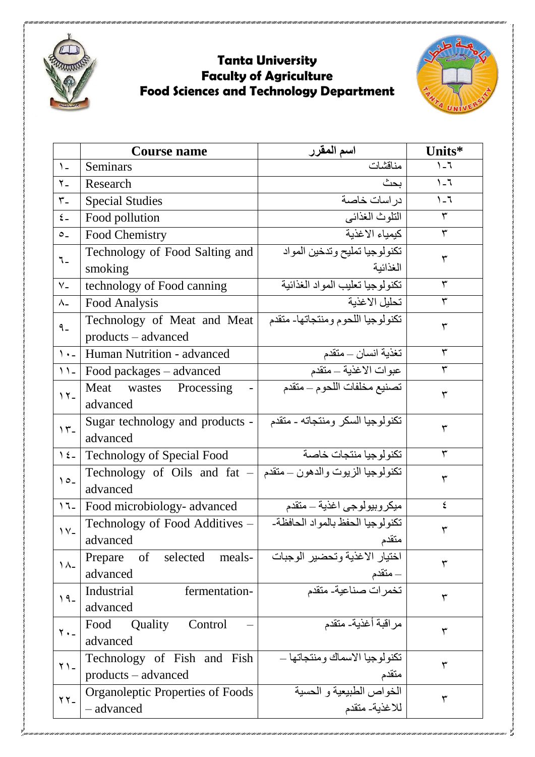

## **Tanta University Faculty of Agriculture Food Sciences and Technology Department**



|                              | <b>Course name</b>                                              | اسم المقرر                                | Units*  |  |
|------------------------------|-----------------------------------------------------------------|-------------------------------------------|---------|--|
| $\lambda$                    | <b>Seminars</b>                                                 | مناقشات                                   | $1 - 7$ |  |
| $Y -$                        | Research                                                        | بحث                                       | $1 - 7$ |  |
| $\mathbf{r}_{-}$             | <b>Special Studies</b>                                          | در اسات خاصبة                             | $1 - 7$ |  |
| $\epsilon$ –                 | Food pollution                                                  | التلوث الغذائبي                           | ٣       |  |
| $\circ$ .                    | Food Chemistry                                                  | كيمياء الاغذية                            | ٣       |  |
| ٦.                           | Technology of Food Salting and<br>smoking                       | تكنولوجيا تمليح وتدخين المواد<br>الغذائية | ٣       |  |
| $V -$                        |                                                                 | تكنولوجيا تعليب المواد الغذائية           | ٣       |  |
| $\lambda$                    | technology of Food canning                                      | تحليل الاغذية                             | ٣       |  |
|                              | Food Analysis                                                   |                                           |         |  |
| $9 -$                        | Technology of Meat and Meat<br>products – advanced              | تكنولوجيا اللحوم ومنتجاتها- متقدم         | ٣       |  |
| $\lambda$ + $-$              | Human Nutrition - advanced                                      | تغذية انسان _ متقدم                       | ٣       |  |
| $\mathcal{N}$                | Food packages – advanced                                        | عبوات الاغذية ـ متقدم                     | ٣       |  |
| $\gamma$                     | Meat<br>wastes Processing<br>advanced                           | تصنيع مخلفات اللحوم - متقدم               | ٣       |  |
|                              | Sugar technology and products -                                 | تكنولوجيا السكر ومنتجاته - متقدم          |         |  |
| $\gamma$                     | advanced                                                        |                                           | ٣       |  |
| $\sum_{i=1}^{n}$             | Technology of Special Food                                      | تكنو لوجيا منتجات خاصة                    | ٣       |  |
| $\circ$ -                    | تكنولوجيا الزيوت والدهون – متقدم   - Technology of Oils and fat |                                           | ٣       |  |
|                              | advanced                                                        |                                           |         |  |
| $17 -$                       | Food microbiology- advanced                                     | ميكروبيولوجي اغذية ــ متقدم               | ٤       |  |
| $\gamma_{-}$                 | Technology of Food Additives -<br>advanced                      | تكنولوجيا الحفظ بالمواد الحافظة-<br>متقدم | ٣       |  |
|                              | selected<br>Prepare<br>of<br>meals-                             | اختيار الاغذية وتحضير الوجبات             |         |  |
| $\Lambda$                    | advanced                                                        | - متقدم                                   | ٣       |  |
| $19 -$                       | fermentation-<br>Industrial                                     | تخمرات صناعية- متقدم                      | ٣       |  |
|                              | advanced                                                        |                                           |         |  |
| $Y -$                        | Control<br>Quality<br>Food<br>advanced                          | مر اقبة أغذية- متقدم                      | ٣       |  |
|                              | Technology of Fish and Fish                                     | تكنولوجيا الاسماك ومنتجاتها —             |         |  |
| $Y$ ) -                      | products – advanced                                             | متقدم                                     | ٣       |  |
| $\gamma \gamma$ <sub>-</sub> | <b>Organoleptic Properties of Foods</b>                         | الخواص الطبيعية و الحسية                  | ٣       |  |
|                              | - advanced                                                      | للاغذية- متقدم                            |         |  |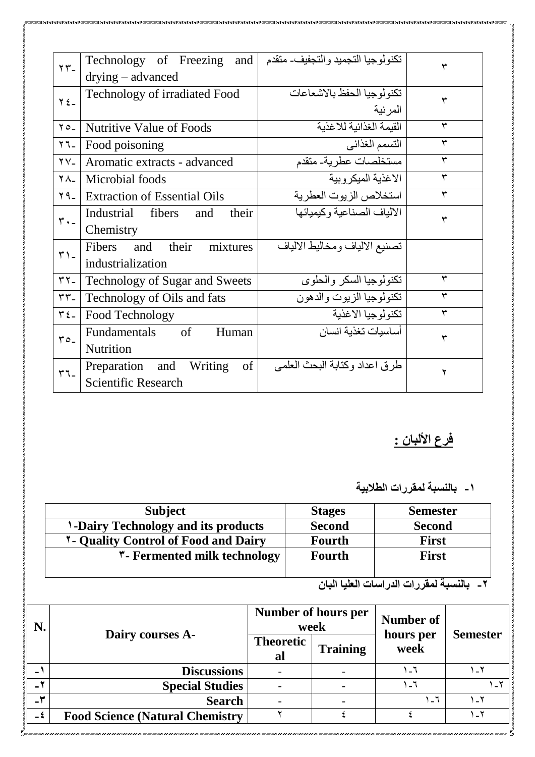| $\tau$                    | تكنولوجيا التجميد والتجفيف- متقدم   Technology of Freezing and |                                |   |  |  |
|---------------------------|----------------------------------------------------------------|--------------------------------|---|--|--|
|                           | $drying - advanced$                                            |                                |   |  |  |
| $\gamma \xi$ <sub>-</sub> | Technology of irradiated Food                                  | تكنو لوجيا الحفظ بالاشعاعات    | ٣ |  |  |
|                           |                                                                | المرئية                        |   |  |  |
| $70 -$                    | <b>Nutritive Value of Foods</b>                                | القيمة الغذائية للاغذية        | ٣ |  |  |
| $\Upsilon$ $\Upsilon$     | Food poisoning                                                 | التسمم الغذائي                 | ٣ |  |  |
| $\gamma$ $\gamma$         | Aromatic extracts - advanced                                   | مستخلصات عطرية- متقدم          | ٣ |  |  |
| $\lambda$ -               | Microbial foods                                                | الاغذية الميكروبية             | ٣ |  |  |
| $Y$ 9 - $ $               | <b>Extraction of Essential Oils</b>                            | استخلاص الزيوت العطرية         | ٣ |  |  |
| $r \cdot$ -               | Industrial fibers<br>and<br>their                              | الالياف الصناعية وكيميائها     | ٣ |  |  |
|                           | Chemistry                                                      |                                |   |  |  |
| $\mathbf{r}$ ) -          | their<br>Fibers<br>and<br>mixtures                             | تصنيع الالياف ومخاليط الالياف  |   |  |  |
|                           | industrialization                                              |                                |   |  |  |
| $\mathbf{r}$              | <b>Technology of Sugar and Sweets</b>                          | تكنولوجيا السكر والحلوى        | ٣ |  |  |
| $rr_{-}$                  | Technology of Oils and fats                                    | تكنولوجيا الزيوت والدهون       | ٣ |  |  |
| $r_{\xi-}$                | Food Technology                                                | تكنولوجيا الاغذية              | ٣ |  |  |
| $ro_{-}$                  | <b>Fundamentals</b><br>of<br>Human                             | أساسبات تغذبة انسان            | ٣ |  |  |
|                           | Nutrition                                                      |                                |   |  |  |
| $\mathbf{r}$              | of<br>Preparation and Writing                                  | طر ق اعداد وكتابة البحث العلمي | ۲ |  |  |
|                           | <b>Scientific Research</b>                                     |                                |   |  |  |

## <u>فرع الألبان :</u>

**-1 بالنسبة لمقررات الطالبية** 

| <b>Subject</b>                              | <b>Stages</b> | <b>Semester</b> |
|---------------------------------------------|---------------|-----------------|
| <b>1-Dairy Technology and its products</b>  | <b>Second</b> | <b>Second</b>   |
| <b>1- Quality Control of Food and Dairy</b> | <b>Fourth</b> | <b>First</b>    |
| <b>*- Fermented milk technology</b>         | Fourth        | <b>First</b>    |
|                                             |               |                 |

**-2 بالنسبة لمقررات الدراسات العليا البان**

| N.      | Dairy courses A-                        | <b>Number of hours per</b><br>week |                 | <b>Number of</b>  |                 |
|---------|-----------------------------------------|------------------------------------|-----------------|-------------------|-----------------|
|         |                                         | <b>Theoretic</b><br>al             | <b>Training</b> | hours per<br>week | <b>Semester</b> |
| $\sim$  | <b>Discussions</b>                      |                                    |                 |                   |                 |
|         | <b>Special Studies</b>                  |                                    |                 |                   |                 |
| $-\tau$ | <b>Search</b>                           |                                    |                 |                   | ۲_۱             |
| $-5$    | <b>Food Science (Natural Chemistry)</b> |                                    |                 |                   | ۲ ـ ۱           |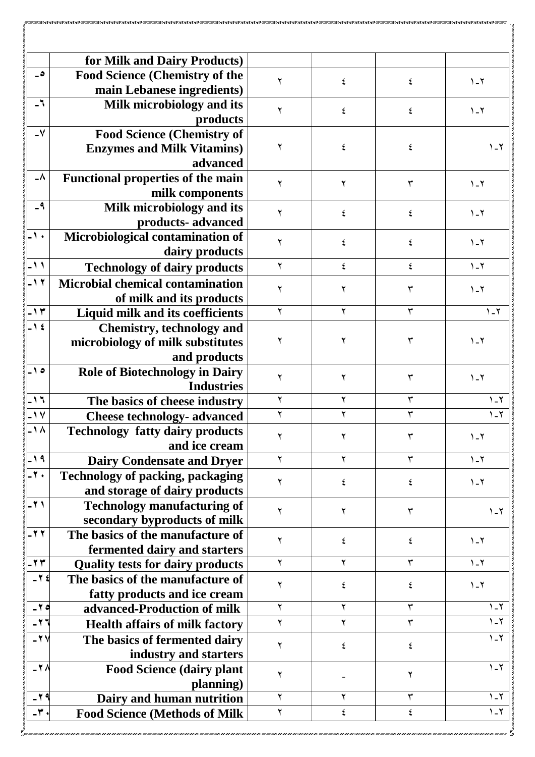|                          | for Milk and Dairy Products)                  |   |   |              |                       |
|--------------------------|-----------------------------------------------|---|---|--------------|-----------------------|
| $\overline{\phantom{a}}$ | <b>Food Science (Chemistry of the</b>         |   |   |              |                       |
|                          | main Lebanese ingredients)                    | ۲ | ٤ | ٤            | $1 - 1$               |
| $-1$                     |                                               |   |   |              |                       |
|                          | Milk microbiology and its                     | ۲ | ź | ٤            | $\lambda$ - $\lambda$ |
| $-\mathsf{V}$            | products                                      |   |   |              |                       |
|                          | <b>Food Science (Chemistry of</b>             | ۲ | ٤ | ٤            | $\lambda$ - $\lambda$ |
|                          | <b>Enzymes and Milk Vitamins)</b><br>advanced |   |   |              |                       |
| ۸۔                       |                                               |   |   |              |                       |
|                          | <b>Functional properties of the main</b>      | ۲ | ٢ | ٣            | $1 - 1$               |
| $-9$                     | milk components                               |   |   |              |                       |
|                          | Milk microbiology and its                     | ۲ | ٤ | ٤            | $\lambda$ - $\lambda$ |
|                          | products-advanced                             |   |   |              |                       |
| -1.                      | Microbiological contamination of              | ۲ | ٤ | ٤            | $1 - 1$               |
|                          | dairy products                                |   |   |              |                       |
| $-11$                    | <b>Technology of dairy products</b>           | ٢ | ٤ | ٤            | $1 - 1$               |
| $-11$                    | <b>Microbial chemical contamination</b>       | ۲ |   |              | $\lambda$ - $\lambda$ |
|                          | of milk and its products                      |   |   |              |                       |
| ۱۳ -                     | Liquid milk and its coefficients              | ٢ | ۲ | ٣            | $1 - 1$               |
| $-1$ ź                   | <b>Chemistry, technology and</b>              |   |   |              |                       |
|                          | microbiology of milk substitutes              | ۲ | ۲ | ٣            | $1 - 1$               |
|                          | and products                                  |   |   |              |                       |
| ه ۱ ـ                    | <b>Role of Biotechnology in Dairy</b>         | ۲ | ۲ | ٣            | $1 - 1$               |
|                          | <b>Industries</b>                             |   |   |              |                       |
| - ۱٦                     | The basics of cheese industry                 | ۲ |   | ٣            | $1 - 1$               |
| $\sqrt{v}$               | <b>Cheese technology- advanced</b>            |   |   |              | $\lambda$ - $\lambda$ |
| ۸ ۱ ـ                    | <b>Technology fatty dairy products</b>        | ۲ |   |              | $\lambda$ - $\lambda$ |
|                          | and ice cream                                 |   |   |              |                       |
| ۹ ۱-                     | <b>Dairy Condensate and Dryer</b>             | ۲ | ۲ | $\mathbf{r}$ | $\lambda$ - $\lambda$ |
| $-7.$                    | <b>Technology of packing, packaging</b>       |   | ٤ | ٤            | $\lambda$ - $\lambda$ |
|                          | and storage of dairy products                 |   |   |              |                       |
| $-71$                    | <b>Technology manufacturing of</b>            | ۲ | ۲ | ٣            | $\lambda$ - $\lambda$ |
|                          | secondary byproducts of milk                  |   |   |              |                       |
| $-77$                    | The basics of the manufacture of              |   | ٤ | ٤            | $\lambda$ - $\lambda$ |
|                          | fermented dairy and starters                  |   |   |              |                       |
| $-77$                    | <b>Quality tests for dairy products</b>       | ۲ |   | ٣            | $\lambda$ - $\lambda$ |
| $-75$                    | The basics of the manufacture of              |   |   |              | $1 - 1$               |
|                          | fatty products and ice cream                  |   |   |              |                       |
| $-70$                    | advanced-Production of milk                   | ۲ |   | ٣            | $1 - 1$               |
| $-11$                    | <b>Health affairs of milk factory</b>         | ٢ |   | ٣            | $1 - 1$               |
| $-7V$                    | The basics of fermented dairy                 |   |   |              | $\lambda$ - $\lambda$ |
|                          | industry and starters                         | ۲ | ٤ | ٤            |                       |
| $-70$                    | <b>Food Science (dairy plant</b>              |   |   |              | $1 - 1$               |
|                          | planning)                                     | ۲ |   |              |                       |
| $-79$                    | Dairy and human nutrition                     | ۲ |   |              | $1 - 7$               |
| $-\mathbf{r}$ .          | <b>Food Science (Methods of Milk</b>          | ۲ |   |              | $\lambda$ - $\lambda$ |
|                          |                                               |   |   |              |                       |